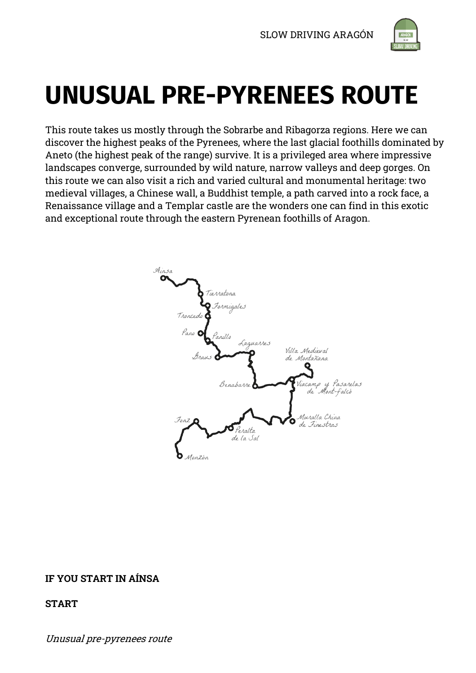

# **UNUSUAL PRE-PYRENEES ROUTE**

This route takes us mostly through the Sobrarbe and Ribagorza regions. Here we can discover the highest peaks of the Pyrenees, where the last glacial foothills dominated by Aneto (the highest peak of the range) survive. It is a privileged area where impressive landscapes converge, surrounded by wild nature, narrow valleys and deep gorges. On this route we can also visit a rich and varied cultural and monumental heritage: two medieval villages, a Chinese wall, a Buddhist temple, a path carved into a rock face, a Renaissance village and a Templar castle are the wonders one can find in this exotic and exceptional route through the eastern Pyrenean foothills of Aragon.



# **IF YOU START IN AÍNSA**

## **START**

Unusual pre-pyrenees route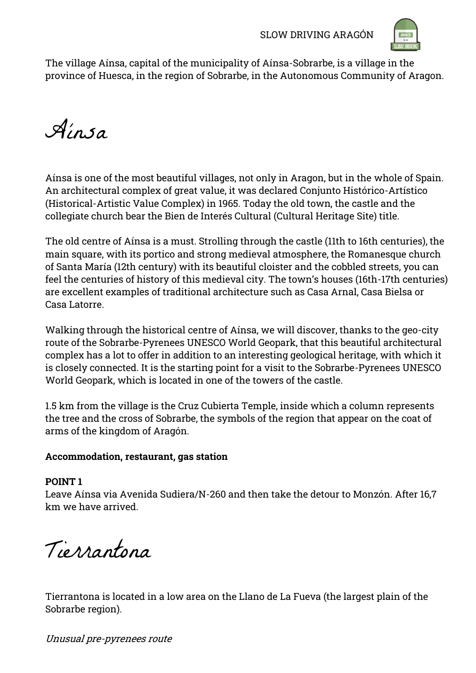

The village Aínsa, capital of the municipality of Aínsa-Sobrarbe, is a village in the province of Huesca, in the region of Sobrarbe, in the Autonomous Community of Aragon.

Aínsa

Aínsa is one of the most beautiful villages, not only in Aragon, but in the whole of Spain. An architectural complex of great value, it was declared Conjunto Histórico-Artístico (Historical-Artistic Value Complex) in 1965. Today the old town, the castle and the collegiate church bear the Bien de Interés Cultural (Cultural Heritage Site) title.

The old centre of Aínsa is a must. Strolling through the castle (11th to 16th centuries), the main square, with its portico and strong medieval atmosphere, the Romanesque church of Santa María (12th century) with its beautiful cloister and the cobbled streets, you can feel the centuries of history of this medieval city. The town"s houses (16th-17th centuries) are excellent examples of traditional architecture such as Casa Arnal, Casa Bielsa or Casa Latorre.

Walking through the historical centre of Aínsa, we will discover, thanks to the geo-city route of the Sobrarbe-Pyrenees UNESCO World Geopark, that this beautiful architectural complex has a lot to offer in addition to an interesting geological heritage, with which it is closely connected. It is the starting point for a visit to the Sobrarbe-Pyrenees UNESCO World Geopark, which is located in one of the towers of the castle.

1.5 km from the village is the Cruz Cubierta Temple, inside which a column represents the tree and the cross of Sobrarbe, the symbols of the region that appear on the coat of arms of the kingdom of Aragón.

# **Accommodation, restaurant, gas station**

# **POINT 1**

Leave Aínsa via Avenida Sudiera/N-260 and then take the detour to Monzón. After 16,7 km we have arrived.

Tierrantona

Tierrantona is located in a low area on the Llano de La Fueva (the largest plain of the Sobrarbe region).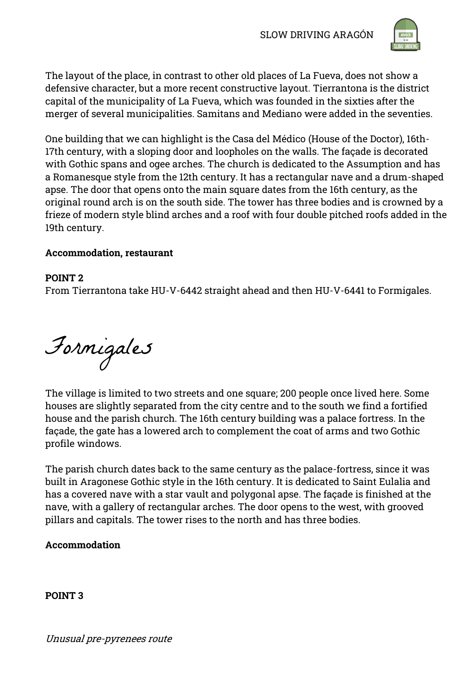

The layout of the place, in contrast to other old places of La Fueva, does not show a defensive character, but a more recent constructive layout. Tierrantona is the district capital of the municipality of La Fueva, which was founded in the sixties after the merger of several municipalities. Samitans and Mediano were added in the seventies.

One building that we can highlight is the Casa del Médico (House of the Doctor), 16th-17th century, with a sloping door and loopholes on the walls. The façade is decorated with Gothic spans and ogee arches. The church is dedicated to the Assumption and has a Romanesque style from the 12th century. It has a rectangular nave and a drum-shaped apse. The door that opens onto the main square dates from the 16th century, as the original round arch is on the south side. The tower has three bodies and is crowned by a frieze of modern style blind arches and a roof with four double pitched roofs added in the 19th century.

# **Accommodation, restaurant**

## **POINT 2**

From Tierrantona take HU-V-6442 straight ahead and then HU-V-6441 to Formigales.

Formigales

The village is limited to two streets and one square; 200 people once lived here. Some houses are slightly separated from the city centre and to the south we find a fortified house and the parish church. The 16th century building was a palace fortress. In the façade, the gate has a lowered arch to complement the coat of arms and two Gothic profile windows.

The parish church dates back to the same century as the palace-fortress, since it was built in Aragonese Gothic style in the 16th century. It is dedicated to Saint Eulalia and has a covered nave with a star vault and polygonal apse. The façade is finished at the nave, with a gallery of rectangular arches. The door opens to the west, with grooved pillars and capitals. The tower rises to the north and has three bodies.

# **Accommodation**

**POINT 3**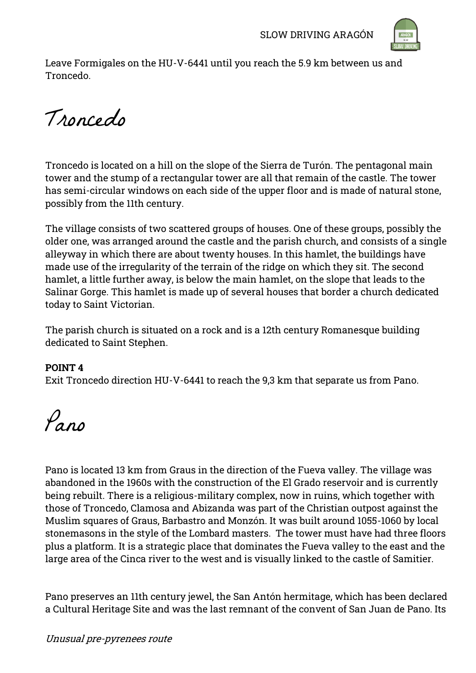

Leave Formigales on the HU-V-6441 until you reach the 5.9 km between us and Troncedo.

Troncedo

Troncedo is located on a hill on the slope of the Sierra de Turón. The pentagonal main tower and the stump of a rectangular tower are all that remain of the castle. The tower has semi-circular windows on each side of the upper floor and is made of natural stone, possibly from the 11th century.

The village consists of two scattered groups of houses. One of these groups, possibly the older one, was arranged around the castle and the parish church, and consists of a single alleyway in which there are about twenty houses. In this hamlet, the buildings have made use of the irregularity of the terrain of the ridge on which they sit. The second hamlet, a little further away, is below the main hamlet, on the slope that leads to the Salinar Gorge. This hamlet is made up of several houses that border a church dedicated today to Saint Victorian.

The parish church is situated on a rock and is a 12th century Romanesque building dedicated to Saint Stephen.

## **POINT 4**

Exit Troncedo direction HU-V-6441 to reach the 9,3 km that separate us from Pano.

Pano

Pano is located 13 km from Graus in the direction of the Fueva valley. The village was abandoned in the 1960s with the construction of the El Grado reservoir and is currently being rebuilt. There is a religious-military complex, now in ruins, which together with those of Troncedo, Clamosa and Abizanda was part of the Christian outpost against the Muslim squares of Graus, Barbastro and Monzón. It was built around 1055-1060 by local stonemasons in the style of the Lombard masters. The tower must have had three floors plus a platform. It is a strategic place that dominates the Fueva valley to the east and the large area of the Cinca river to the west and is visually linked to the castle of Samitier.

Pano preserves an 11th century jewel, the San Antón hermitage, which has been declared a Cultural Heritage Site and was the last remnant of the convent of San Juan de Pano. Its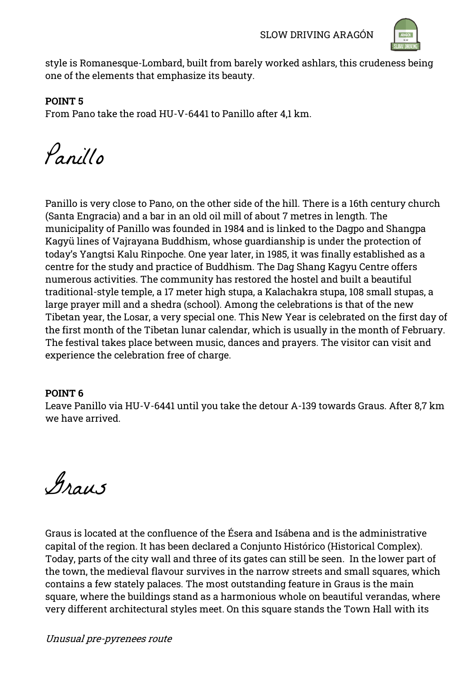

style is Romanesque-Lombard, built from barely worked ashlars, this crudeness being one of the elements that emphasize its beauty.

## **POINT 5**

From Pano take the road HU-V-6441 to Panillo after 4,1 km.

Panillo

Panillo is very close to Pano, on the other side of the hill. There is a 16th century church (Santa Engracia) and a bar in an old oil mill of about 7 metres in length. The municipality of Panillo was founded in 1984 and is linked to the Dagpo and Shangpa Kagyü lines of Vajrayana Buddhism, whose guardianship is under the protection of today"s Yangtsi Kalu Rinpoche. One year later, in 1985, it was finally established as a centre for the study and practice of Buddhism. The Dag Shang Kagyu Centre offers numerous activities. The community has restored the hostel and built a beautiful traditional-style temple, a 17 meter high stupa, a Kalachakra stupa, 108 small stupas, a large prayer mill and a shedra (school). Among the celebrations is that of the new Tibetan year, the Losar, a very special one. This New Year is celebrated on the first day of the first month of the Tibetan lunar calendar, which is usually in the month of February. The festival takes place between music, dances and prayers. The visitor can visit and experience the celebration free of charge.

# **POINT 6**

Leave Panillo via HU-V-6441 until you take the detour A-139 towards Graus. After 8,7 km we have arrived.

Graus

Graus is located at the confluence of the Ésera and Isábena and is the administrative capital of the region. It has been declared a Conjunto Histórico (Historical Complex). Today, parts of the city wall and three of its gates can still be seen. In the lower part of the town, the medieval flavour survives in the narrow streets and small squares, which contains a few stately palaces. The most outstanding feature in Graus is the main square, where the buildings stand as a harmonious whole on beautiful verandas, where very different architectural styles meet. On this square stands the Town Hall with its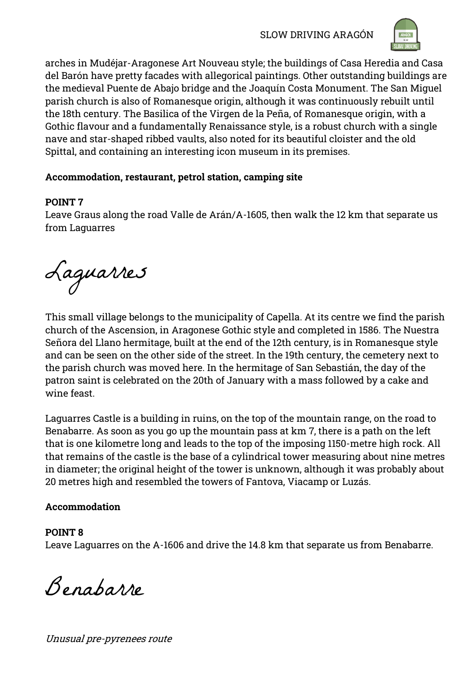SLOW DRIVING ARAGÓN



arches in Mudéjar-Aragonese Art Nouveau style; the buildings of Casa Heredia and Casa del Barón have pretty facades with allegorical paintings. Other outstanding buildings are the medieval Puente de Abajo bridge and the Joaquín Costa Monument. The San Miguel parish church is also of Romanesque origin, although it was continuously rebuilt until the 18th century. The Basilica of the Virgen de la Peña, of Romanesque origin, with a Gothic flavour and a fundamentally Renaissance style, is a robust church with a single nave and star-shaped ribbed vaults, also noted for its beautiful cloister and the old Spittal, and containing an interesting icon museum in its premises.

# **Accommodation, restaurant, petrol station, camping site**

# **POINT 7**

Leave Graus along the road Valle de Arán/A-1605, then walk the 12 km that separate us from Laguarres

Laguarres

This small village belongs to the municipality of Capella. At its centre we find the parish church of the Ascension, in Aragonese Gothic style and completed in 1586. The Nuestra Señora del Llano hermitage, built at the end of the 12th century, is in Romanesque style and can be seen on the other side of the street. In the 19th century, the cemetery next to the parish church was moved here. In the hermitage of San Sebastián, the day of the patron saint is celebrated on the 20th of January with a mass followed by a cake and wine feast.

Laguarres Castle is a building in ruins, on the top of the mountain range, on the road to Benabarre. As soon as you go up the mountain pass at km 7, there is a path on the left that is one kilometre long and leads to the top of the imposing 1150-metre high rock. All that remains of the castle is the base of a cylindrical tower measuring about nine metres in diameter; the original height of the tower is unknown, although it was probably about 20 metres high and resembled the towers of Fantova, Viacamp or Luzás.

# **Accommodation**

# **POINT 8**

Leave Laguarres on the A-1606 and drive the 14.8 km that separate us from Benabarre.

Benabarre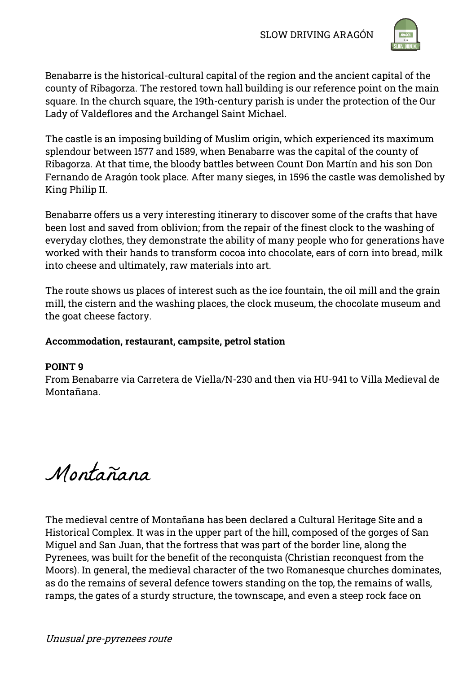

Benabarre is the historical-cultural capital of the region and the ancient capital of the county of Ribagorza. The restored town hall building is our reference point on the main square. In the church square, the 19th-century parish is under the protection of the Our Lady of Valdeflores and the Archangel Saint Michael.

The castle is an imposing building of Muslim origin, which experienced its maximum splendour between 1577 and 1589, when Benabarre was the capital of the county of Ribagorza. At that time, the bloody battles between Count Don Martín and his son Don Fernando de Aragón took place. After many sieges, in 1596 the castle was demolished by King Philip II.

Benabarre offers us a very interesting itinerary to discover some of the crafts that have been lost and saved from oblivion; from the repair of the finest clock to the washing of everyday clothes, they demonstrate the ability of many people who for generations have worked with their hands to transform cocoa into chocolate, ears of corn into bread, milk into cheese and ultimately, raw materials into art.

The route shows us places of interest such as the ice fountain, the oil mill and the grain mill, the cistern and the washing places, the clock museum, the chocolate museum and the goat cheese factory.

# **Accommodation, restaurant, campsite, petrol station**

# **POINT 9**

From Benabarre via Carretera de Viella/N-230 and then via HU-941 to Villa Medieval de Montañana.

Montañana

The medieval centre of Montañana has been declared a Cultural Heritage Site and a Historical Complex. It was in the upper part of the hill, composed of the gorges of San Miguel and San Juan, that the fortress that was part of the border line, along the Pyrenees, was built for the benefit of the reconquista (Christian reconquest from the Moors). In general, the medieval character of the two Romanesque churches dominates, as do the remains of several defence towers standing on the top, the remains of walls, ramps, the gates of a sturdy structure, the townscape, and even a steep rock face on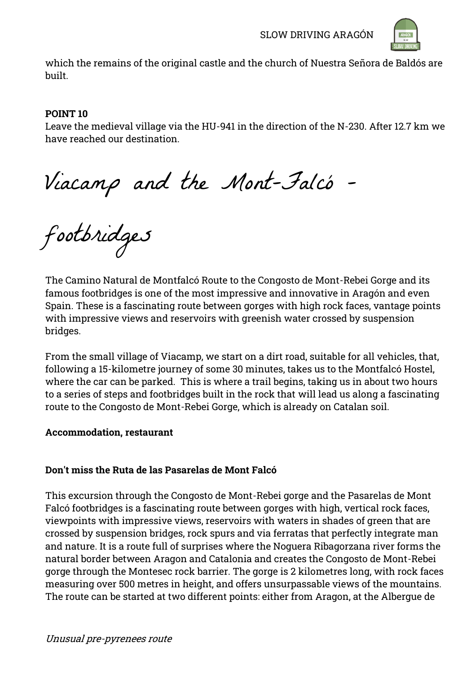

which the remains of the original castle and the church of Nuestra Señora de Baldós are built.

## **POINT 10**

Leave the medieval village via the HU-941 in the direction of the N-230. After 12.7 km we have reached our destination.

Viacamp and the Mont-Falcó -

footbridges

The Camino Natural de Montfalcó Route to the Congosto de Mont-Rebei Gorge and its famous footbridges is one of the most impressive and innovative in Aragón and even Spain. These is a fascinating route between gorges with high rock faces, vantage points with impressive views and reservoirs with greenish water crossed by suspension bridges.

From the small village of Viacamp, we start on a dirt road, suitable for all vehicles, that, following a 15-kilometre journey of some 30 minutes, takes us to the Montfalcó Hostel, where the car can be parked. This is where a trail begins, taking us in about two hours to a series of steps and footbridges built in the rock that will lead us along a fascinating route to the Congosto de Mont-Rebei Gorge, which is already on Catalan soil.

## **Accommodation, restaurant**

# **Don't miss the Ruta de las Pasarelas de Mont Falcó**

This excursion through the Congosto de Mont-Rebei gorge and the Pasarelas de Mont Falcó footbridges is a fascinating route between gorges with high, vertical rock faces, viewpoints with impressive views, reservoirs with waters in shades of green that are crossed by suspension bridges, rock spurs and via ferratas that perfectly integrate man and nature. It is a route full of surprises where the Noguera Ribagorzana river forms the natural border between Aragon and Catalonia and creates the Congosto de Mont-Rebei gorge through the Montesec rock barrier. The gorge is 2 kilometres long, with rock faces measuring over 500 metres in height, and offers unsurpassable views of the mountains. The route can be started at two different points: either from Aragon, at the Albergue de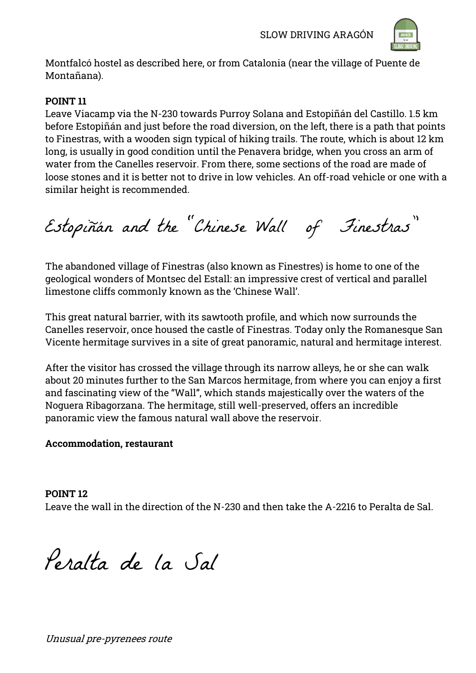

Montfalcó hostel as described here, or from Catalonia (near the village of Puente de Montañana).

# **POINT 11**

Leave Viacamp via the N-230 towards Purroy Solana and Estopiñán del Castillo. 1.5 km before Estopiñán and just before the road diversion, on the left, there is a path that points to Finestras, with a wooden sign typical of hiking trails. The route, which is about 12 km long, is usually in good condition until the Penavera bridge, when you cross an arm of water from the Canelles reservoir. From there, some sections of the road are made of loose stones and it is better not to drive in low vehicles. An off-road vehicle or one with a similar height is recommended.

Estopiñán and the "Chinese Wall of Finestras"

The abandoned village of Finestras (also known as Finestres) is home to one of the geological wonders of Montsec del Estall: an impressive crest of vertical and parallel limestone cliffs commonly known as the "Chinese Wall".

This great natural barrier, with its sawtooth profile, and which now surrounds the Canelles reservoir, once housed the castle of Finestras. Today only the Romanesque San Vicente hermitage survives in a site of great panoramic, natural and hermitage interest.

After the visitor has crossed the village through its narrow alleys, he or she can walk about 20 minutes further to the San Marcos hermitage, from where you can enjoy a first and fascinating view of the "Wall", which stands majestically over the waters of the Noguera Ribagorzana. The hermitage, still well-preserved, offers an incredible panoramic view the famous natural wall above the reservoir.

# **Accommodation, restaurant**

**POINT 12** Leave the wall in the direction of the N-230 and then take the A-2216 to Peralta de Sal.

Peralta de la Sal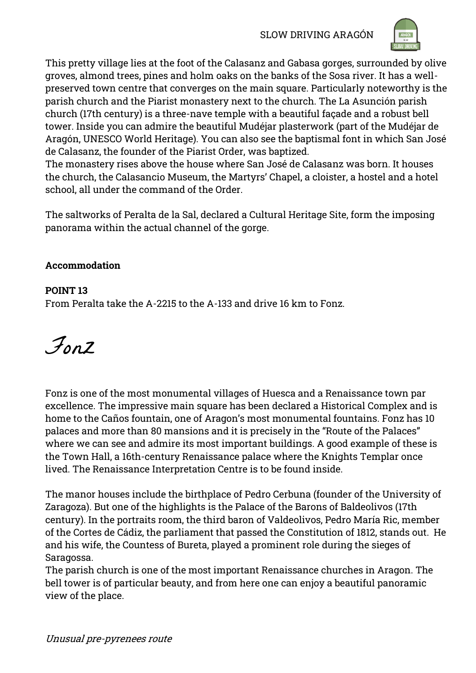

This pretty village lies at the foot of the Calasanz and Gabasa gorges, surrounded by olive groves, almond trees, pines and holm oaks on the banks of the Sosa river. It has a wellpreserved town centre that converges on the main square. Particularly noteworthy is the parish church and the Piarist monastery next to the church. The La Asunción parish church (17th century) is a three-nave temple with a beautiful façade and a robust bell tower. Inside you can admire the beautiful Mudéjar plasterwork (part of the Mudéjar de Aragón, UNESCO World Heritage). You can also see the baptismal font in which San José de Calasanz, the founder of the Piarist Order, was baptized.

The monastery rises above the house where San José de Calasanz was born. It houses the church, the Calasancio Museum, the Martyrs" Chapel, a cloister, a hostel and a hotel school, all under the command of the Order.

The saltworks of Peralta de la Sal, declared a Cultural Heritage Site, form the imposing panorama within the actual channel of the gorge.

# **Accommodation**

# **POINT 13**

From Peralta take the A-2215 to the A-133 and drive 16 km to Fonz.

Fonz

Fonz is one of the most monumental villages of Huesca and a Renaissance town par excellence. The impressive main square has been declared a Historical Complex and is home to the Caños fountain, one of Aragon's most monumental fountains. Fonz has 10 palaces and more than 80 mansions and it is precisely in the "Route of the Palaces" where we can see and admire its most important buildings. A good example of these is the Town Hall, a 16th-century Renaissance palace where the Knights Templar once lived. The Renaissance Interpretation Centre is to be found inside.

The manor houses include the birthplace of Pedro Cerbuna (founder of the University of Zaragoza). But one of the highlights is the Palace of the Barons of Baldeolivos (17th century). In the portraits room, the third baron of Valdeolivos, Pedro María Ric, member of the Cortes de Cádiz, the parliament that passed the Constitution of 1812, stands out. He and his wife, the Countess of Bureta, played a prominent role during the sieges of Saragossa.

The parish church is one of the most important Renaissance churches in Aragon. The bell tower is of particular beauty, and from here one can enjoy a beautiful panoramic view of the place.